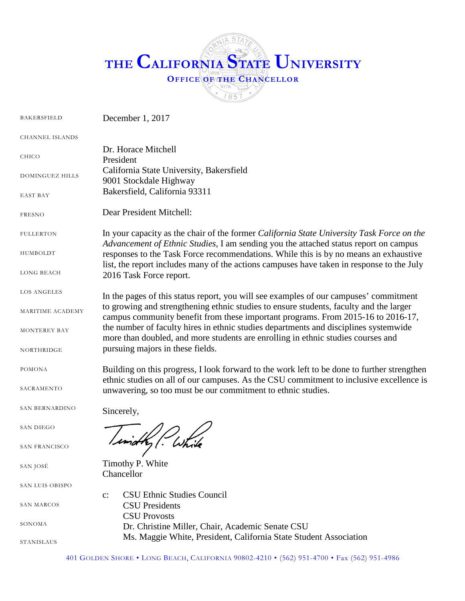# **THE CALIFORNIA STATE UNIVERSITY OFFICE OF THE CHANCELLOR** 1857

BAKERSFIELD CHANNEL ISLANDS CHICO DOMINGUEZ HILLS EAST BAY FRESNO **FULLERTON** HUMBOLDT LONG BEACH LOS ANGELES MARITIME ACADEMY MONTEREY BAY NORTHRIDGE POMONA SACRAMENTO SAN BERNARDINO SAN DIEGO SAN FRANCISCO SAN JOSÉ SAN LUIS OBISPO SAN MARCOS SONOMA STANISLAUS December 1, 2017 Dr. Horace Mitchell President California State University, Bakersfield 9001 Stockdale Highway Bakersfield, California 93311 Dear President Mitchell: In your capacity as the chair of the former *California State University Task Force on the Advancement of Ethnic Studies,* I am sending you the attached status report on campus responses to the Task Force recommendations. While this is by no means an exhaustive list, the report includes many of the actions campuses have taken in response to the July 2016 Task Force report. In the pages of this status report, you will see examples of our campuses' commitment to growing and strengthening ethnic studies to ensure students, faculty and the larger campus community benefit from these important programs. From 2015-16 to 2016-17, the number of faculty hires in ethnic studies departments and disciplines systemwide more than doubled, and more students are enrolling in ethnic studies courses and pursuing majors in these fields. Building on this progress, I look forward to the work left to be done to further strengthen ethnic studies on all of our campuses. As the CSU commitment to inclusive excellence is unwavering, so too must be our commitment to ethnic studies. Sincerely, Timothy P. White Chancellor c: CSU Ethnic Studies Council CSU Presidents CSU Provosts Dr. Christine Miller, Chair, Academic Senate CSU Ms. Maggie White, President, California State Student Association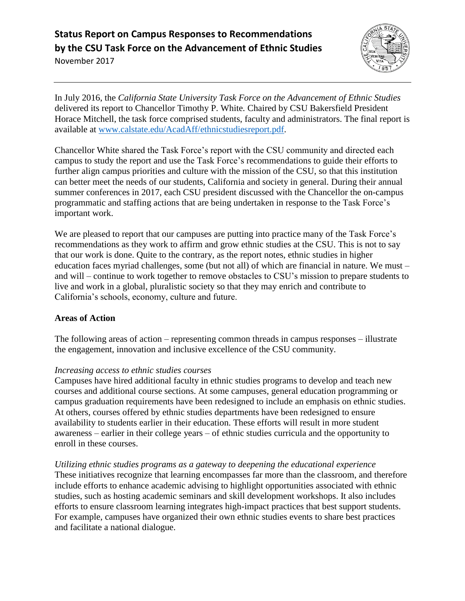

In July 2016, the *California State University Task Force on the Advancement of Ethnic Studies* delivered its report to Chancellor Timothy P. White*.* Chaired by CSU Bakersfield President Horace Mitchell, the task force comprised students, faculty and administrators. The final report is available at [www.calstate.edu/AcadAff/ethnicstudiesreport.pdf.](http://www.calstate.edu/AcadAff/ethnicstudiesreport.pdf)

Chancellor White shared the Task Force's report with the CSU community and directed each campus to study the report and use the Task Force's recommendations to guide their efforts to further align campus priorities and culture with the mission of the CSU, so that this institution can better meet the needs of our students, California and society in general. During their annual summer conferences in 2017, each CSU president discussed with the Chancellor the on-campus programmatic and staffing actions that are being undertaken in response to the Task Force's important work.

We are pleased to report that our campuses are putting into practice many of the Task Force's recommendations as they work to affirm and grow ethnic studies at the CSU. This is not to say that our work is done. Quite to the contrary, as the report notes, ethnic studies in higher education faces myriad challenges, some (but not all) of which are financial in nature. We must – and will – continue to work together to remove obstacles to CSU's mission to prepare students to live and work in a global, pluralistic society so that they may enrich and contribute to California's schools, economy, culture and future.

## **Areas of Action**

The following areas of action – representing common threads in campus responses – illustrate the engagement, innovation and inclusive excellence of the CSU community.

## *Increasing access to ethnic studies courses*

Campuses have hired additional faculty in ethnic studies programs to develop and teach new courses and additional course sections. At some campuses, general education programming or campus graduation requirements have been redesigned to include an emphasis on ethnic studies. At others, courses offered by ethnic studies departments have been redesigned to ensure availability to students earlier in their education. These efforts will result in more student awareness – earlier in their college years – of ethnic studies curricula and the opportunity to enroll in these courses.

*Utilizing ethnic studies programs as a gateway to deepening the educational experience* These initiatives recognize that learning encompasses far more than the classroom, and therefore include efforts to enhance academic advising to highlight opportunities associated with ethnic studies, such as hosting academic seminars and skill development workshops. It also includes efforts to ensure classroom learning integrates high-impact practices that best support students. For example, campuses have organized their own ethnic studies events to share best practices and facilitate a national dialogue.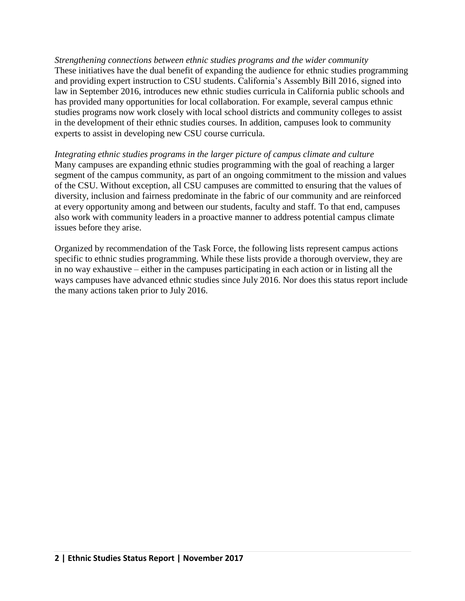*Strengthening connections between ethnic studies programs and the wider community* These initiatives have the dual benefit of expanding the audience for ethnic studies programming and providing expert instruction to CSU students. California's Assembly Bill 2016, signed into law in September 2016, introduces new ethnic studies curricula in California public schools and has provided many opportunities for local collaboration. For example, several campus ethnic studies programs now work closely with local school districts and community colleges to assist in the development of their ethnic studies courses. In addition, campuses look to community experts to assist in developing new CSU course curricula.

*Integrating ethnic studies programs in the larger picture of campus climate and culture* Many campuses are expanding ethnic studies programming with the goal of reaching a larger segment of the campus community, as part of an ongoing commitment to the mission and values of the CSU. Without exception, all CSU campuses are committed to ensuring that the values of diversity, inclusion and fairness predominate in the fabric of our community and are reinforced at every opportunity among and between our students, faculty and staff. To that end, campuses also work with community leaders in a proactive manner to address potential campus climate issues before they arise.

Organized by recommendation of the Task Force, the following lists represent campus actions specific to ethnic studies programming. While these lists provide a thorough overview, they are in no way exhaustive – either in the campuses participating in each action or in listing all the ways campuses have advanced ethnic studies since July 2016. Nor does this status report include the many actions taken prior to July 2016.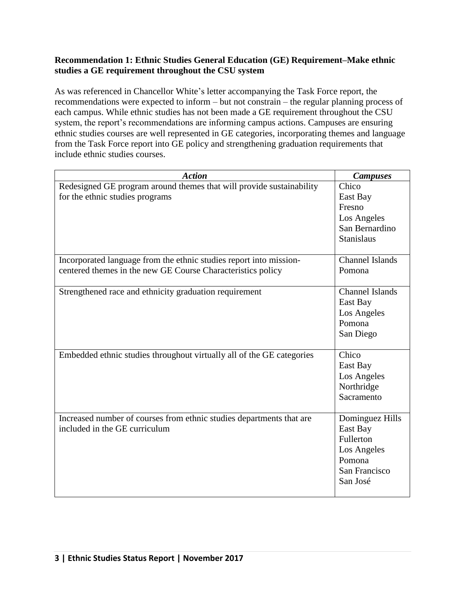#### **Recommendation 1: Ethnic Studies General Education (GE) Requirement–Make ethnic studies a GE requirement throughout the CSU system**

As was referenced in Chancellor White's letter accompanying the Task Force report, the recommendations were expected to inform – but not constrain – the regular planning process of each campus. While ethnic studies has not been made a GE requirement throughout the CSU system, the report's recommendations are informing campus actions. Campuses are ensuring ethnic studies courses are well represented in GE categories, incorporating themes and language from the Task Force report into GE policy and strengthening graduation requirements that include ethnic studies courses.

| <b>Action</b>                                                                                                                     | <b>Campuses</b>                                                                                |
|-----------------------------------------------------------------------------------------------------------------------------------|------------------------------------------------------------------------------------------------|
| Redesigned GE program around themes that will provide sustainability<br>for the ethnic studies programs                           | Chico<br>East Bay<br>Fresno<br>Los Angeles<br>San Bernardino<br><b>Stanislaus</b>              |
| Incorporated language from the ethnic studies report into mission-<br>centered themes in the new GE Course Characteristics policy | Channel Islands<br>Pomona                                                                      |
| Strengthened race and ethnicity graduation requirement                                                                            | <b>Channel Islands</b><br>East Bay<br>Los Angeles<br>Pomona<br>San Diego                       |
| Embedded ethnic studies throughout virtually all of the GE categories                                                             | Chico<br>East Bay<br>Los Angeles<br>Northridge<br>Sacramento                                   |
| Increased number of courses from ethnic studies departments that are<br>included in the GE curriculum                             | Dominguez Hills<br>East Bay<br>Fullerton<br>Los Angeles<br>Pomona<br>San Francisco<br>San José |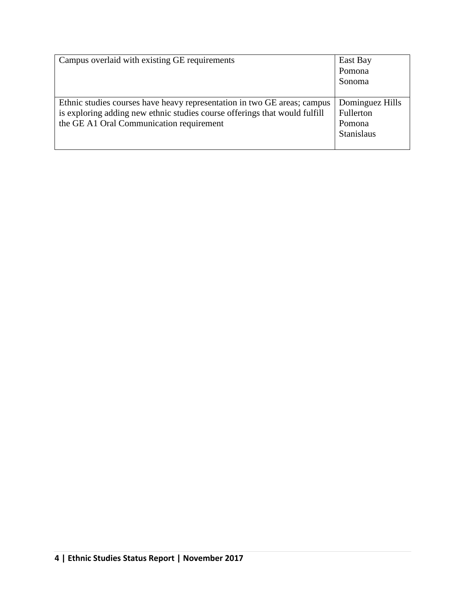| Campus overlaid with existing GE requirements                              | East Bay          |
|----------------------------------------------------------------------------|-------------------|
|                                                                            | Pomona            |
|                                                                            | Sonoma            |
|                                                                            |                   |
| Ethnic studies courses have heavy representation in two GE areas; campus   | Dominguez Hills   |
| is exploring adding new ethnic studies course offerings that would fulfill | Fullerton         |
| the GE A1 Oral Communication requirement                                   | Pomona            |
|                                                                            | <b>Stanislaus</b> |
|                                                                            |                   |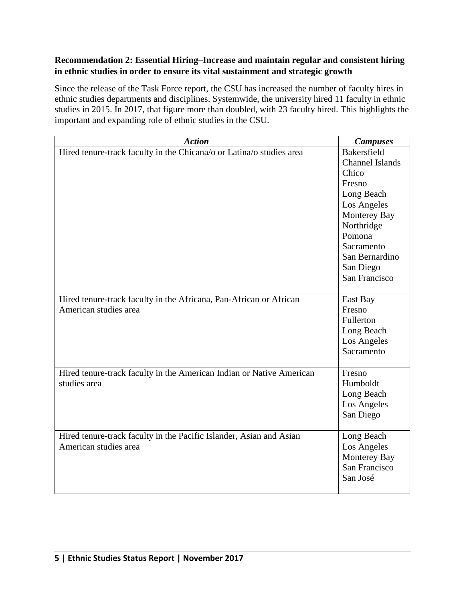# **Recommendation 2: Essential Hiring–Increase and maintain regular and consistent hiring in ethnic studies in order to ensure its vital sustainment and strategic growth**

Since the release of the Task Force report, the CSU has increased the number of faculty hires in ethnic studies departments and disciplines. Systemwide, the university hired 11 faculty in ethnic studies in 2015. In 2017, that figure more than doubled, with 23 faculty hired. This highlights the important and expanding role of ethnic studies in the CSU.

| <b>Action</b>                                                        | <b>Campuses</b>        |
|----------------------------------------------------------------------|------------------------|
| Hired tenure-track faculty in the Chicana/o or Latina/o studies area | Bakersfield            |
|                                                                      | <b>Channel Islands</b> |
|                                                                      | Chico                  |
|                                                                      | Fresno                 |
|                                                                      | Long Beach             |
|                                                                      | Los Angeles            |
|                                                                      | Monterey Bay           |
|                                                                      | Northridge             |
|                                                                      | Pomona                 |
|                                                                      | Sacramento             |
|                                                                      | San Bernardino         |
|                                                                      | San Diego              |
|                                                                      | San Francisco          |
|                                                                      |                        |
| Hired tenure-track faculty in the Africana, Pan-African or African   | East Bay               |
| American studies area                                                | Fresno                 |
|                                                                      | Fullerton              |
|                                                                      | Long Beach             |
|                                                                      | Los Angeles            |
|                                                                      | Sacramento             |
|                                                                      |                        |
| Hired tenure-track faculty in the American Indian or Native American | Fresno                 |
| studies area                                                         | Humboldt               |
|                                                                      | Long Beach             |
|                                                                      | Los Angeles            |
|                                                                      | San Diego              |
| Hired tenure-track faculty in the Pacific Islander, Asian and Asian  | Long Beach             |
| American studies area                                                | Los Angeles            |
|                                                                      | Monterey Bay           |
|                                                                      | San Francisco          |
|                                                                      | San José               |
|                                                                      |                        |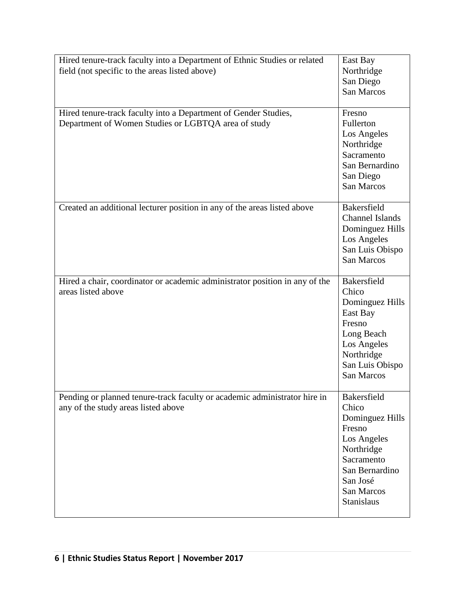| Hired tenure-track faculty into a Department of Ethnic Studies or related   | East Bay               |
|-----------------------------------------------------------------------------|------------------------|
| field (not specific to the areas listed above)                              | Northridge             |
|                                                                             | San Diego              |
|                                                                             | San Marcos             |
|                                                                             |                        |
| Hired tenure-track faculty into a Department of Gender Studies,             | Fresno                 |
| Department of Women Studies or LGBTQA area of study                         | Fullerton              |
|                                                                             | Los Angeles            |
|                                                                             | Northridge             |
|                                                                             | Sacramento             |
|                                                                             | San Bernardino         |
|                                                                             | San Diego              |
|                                                                             | San Marcos             |
|                                                                             |                        |
| Created an additional lecturer position in any of the areas listed above    | Bakersfield            |
|                                                                             | <b>Channel Islands</b> |
|                                                                             | Dominguez Hills        |
|                                                                             | Los Angeles            |
|                                                                             | San Luis Obispo        |
|                                                                             | <b>San Marcos</b>      |
|                                                                             |                        |
| Hired a chair, coordinator or academic administrator position in any of the | Bakersfield            |
| areas listed above                                                          | Chico                  |
|                                                                             | Dominguez Hills        |
|                                                                             | East Bay               |
|                                                                             | Fresno                 |
|                                                                             | Long Beach             |
|                                                                             | Los Angeles            |
|                                                                             | Northridge             |
|                                                                             | San Luis Obispo        |
|                                                                             | San Marcos             |
|                                                                             |                        |
| Pending or planned tenure-track faculty or academic administrator hire in   | Bakersfield            |
| any of the study areas listed above                                         | Chico                  |
|                                                                             | Dominguez Hills        |
|                                                                             | Fresno                 |
|                                                                             | Los Angeles            |
|                                                                             | Northridge             |
|                                                                             | Sacramento             |
|                                                                             | San Bernardino         |
|                                                                             | San José               |
|                                                                             | San Marcos             |
|                                                                             | Stanislaus             |
|                                                                             |                        |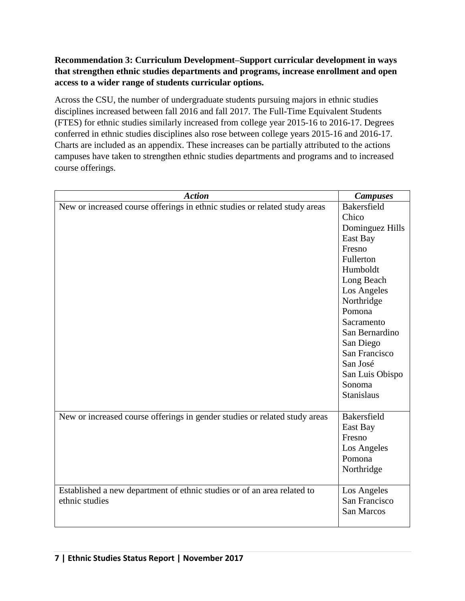# **Recommendation 3: Curriculum Development–Support curricular development in ways that strengthen ethnic studies departments and programs, increase enrollment and open access to a wider range of students curricular options.**

Across the CSU, the number of undergraduate students pursuing majors in ethnic studies disciplines increased between fall 2016 and fall 2017. The Full-Time Equivalent Students (FTES) for ethnic studies similarly increased from college year 2015-16 to 2016-17. Degrees conferred in ethnic studies disciplines also rose between college years 2015-16 and 2016-17. Charts are included as an appendix. These increases can be partially attributed to the actions campuses have taken to strengthen ethnic studies departments and programs and to increased course offerings.

| <b>Action</b>                                                              | <b>Campuses</b>    |
|----------------------------------------------------------------------------|--------------------|
| New or increased course offerings in ethnic studies or related study areas | <b>Bakersfield</b> |
|                                                                            | Chico              |
|                                                                            | Dominguez Hills    |
|                                                                            | East Bay           |
|                                                                            | Fresno             |
|                                                                            | Fullerton          |
|                                                                            | Humboldt           |
|                                                                            | Long Beach         |
|                                                                            | Los Angeles        |
|                                                                            | Northridge         |
|                                                                            | Pomona             |
|                                                                            | Sacramento         |
|                                                                            | San Bernardino     |
|                                                                            | San Diego          |
|                                                                            | San Francisco      |
|                                                                            | San José           |
|                                                                            | San Luis Obispo    |
|                                                                            | Sonoma             |
|                                                                            | <b>Stanislaus</b>  |
|                                                                            |                    |
| New or increased course offerings in gender studies or related study areas | Bakersfield        |
|                                                                            | East Bay           |
|                                                                            | Fresno             |
|                                                                            | Los Angeles        |
|                                                                            | Pomona             |
|                                                                            | Northridge         |
|                                                                            |                    |
| Established a new department of ethnic studies or of an area related to    | Los Angeles        |
| ethnic studies                                                             | San Francisco      |
|                                                                            | <b>San Marcos</b>  |
|                                                                            |                    |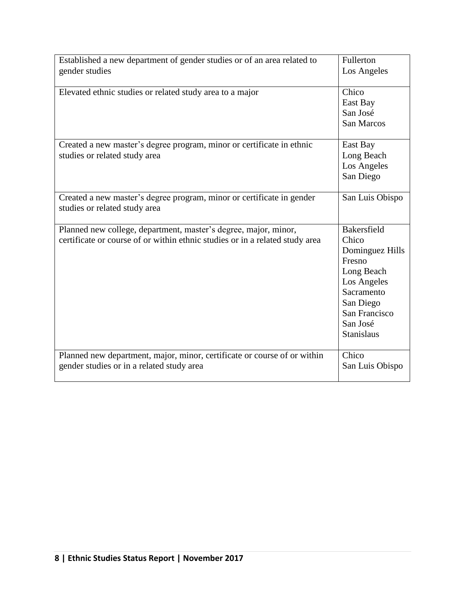| Established a new department of gender studies or of an area related to<br>gender studies                                                       | Fullerton<br>Los Angeles                                                                                                                                    |
|-------------------------------------------------------------------------------------------------------------------------------------------------|-------------------------------------------------------------------------------------------------------------------------------------------------------------|
| Elevated ethnic studies or related study area to a major                                                                                        | Chico<br>East Bay<br>San José<br>San Marcos                                                                                                                 |
| Created a new master's degree program, minor or certificate in ethnic<br>studies or related study area                                          | East Bay<br>Long Beach<br>Los Angeles<br>San Diego                                                                                                          |
| Created a new master's degree program, minor or certificate in gender<br>studies or related study area                                          | San Luis Obispo                                                                                                                                             |
| Planned new college, department, master's degree, major, minor,<br>certificate or course of or within ethnic studies or in a related study area | Bakersfield<br>Chico<br>Dominguez Hills<br>Fresno<br>Long Beach<br>Los Angeles<br>Sacramento<br>San Diego<br>San Francisco<br>San José<br><b>Stanislaus</b> |
| Planned new department, major, minor, certificate or course of or within<br>gender studies or in a related study area                           | Chico<br>San Luis Obispo                                                                                                                                    |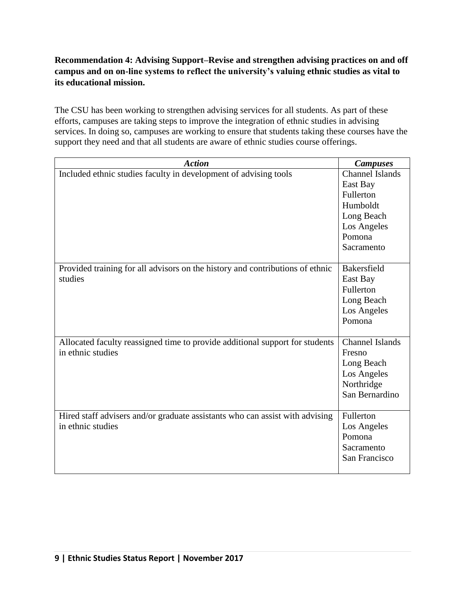# **Recommendation 4: Advising Support–Revise and strengthen advising practices on and off campus and on on-line systems to reflect the university's valuing ethnic studies as vital to its educational mission.**

The CSU has been working to strengthen advising services for all students. As part of these efforts, campuses are taking steps to improve the integration of ethnic studies in advising services. In doing so, campuses are working to ensure that students taking these courses have the support they need and that all students are aware of ethnic studies course offerings.

| <b>Action</b>                                                                 | <b>Campuses</b>        |
|-------------------------------------------------------------------------------|------------------------|
| Included ethnic studies faculty in development of advising tools              | <b>Channel Islands</b> |
|                                                                               | East Bay               |
|                                                                               | Fullerton              |
|                                                                               | Humboldt               |
|                                                                               | Long Beach             |
|                                                                               | Los Angeles            |
|                                                                               | Pomona                 |
|                                                                               | Sacramento             |
|                                                                               |                        |
| Provided training for all advisors on the history and contributions of ethnic | Bakersfield            |
| studies                                                                       | East Bay               |
|                                                                               | Fullerton              |
|                                                                               | Long Beach             |
|                                                                               | Los Angeles            |
|                                                                               | Pomona                 |
|                                                                               |                        |
| Allocated faculty reassigned time to provide additional support for students  | <b>Channel Islands</b> |
| in ethnic studies                                                             | Fresno                 |
|                                                                               | Long Beach             |
|                                                                               | Los Angeles            |
|                                                                               | Northridge             |
|                                                                               | San Bernardino         |
|                                                                               |                        |
| Hired staff advisers and/or graduate assistants who can assist with advising  | Fullerton              |
| in ethnic studies                                                             | Los Angeles            |
|                                                                               | Pomona                 |
|                                                                               | Sacramento             |
|                                                                               | San Francisco          |
|                                                                               |                        |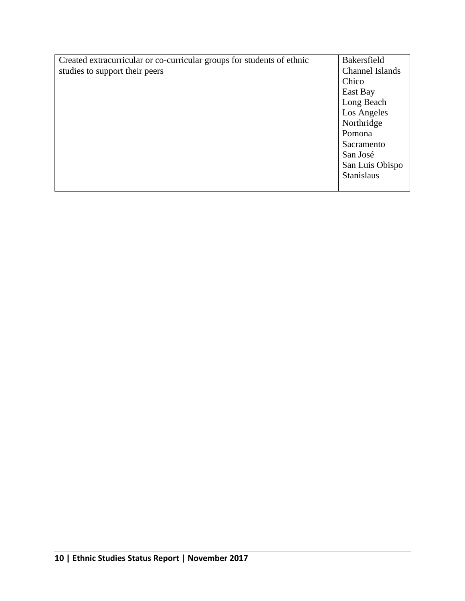| Created extracurricular or co-curricular groups for students of ethnic | Bakersfield            |
|------------------------------------------------------------------------|------------------------|
| studies to support their peers                                         | <b>Channel Islands</b> |
|                                                                        | Chico                  |
|                                                                        | East Bay               |
|                                                                        | Long Beach             |
|                                                                        | Los Angeles            |
|                                                                        | Northridge             |
|                                                                        | Pomona                 |
|                                                                        | Sacramento             |
|                                                                        | San José               |
|                                                                        | San Luis Obispo        |
|                                                                        | <b>Stanislaus</b>      |
|                                                                        |                        |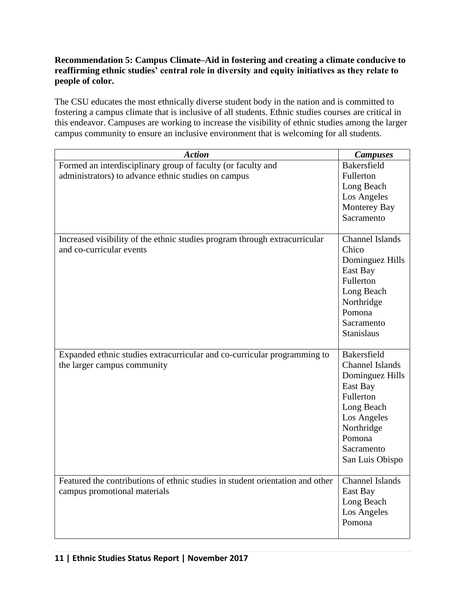# **Recommendation 5: Campus Climate–Aid in fostering and creating a climate conducive to reaffirming ethnic studies' central role in diversity and equity initiatives as they relate to people of color.**

The CSU educates the most ethnically diverse student body in the nation and is committed to fostering a campus climate that is inclusive of all students. Ethnic studies courses are critical in this endeavor. Campuses are working to increase the visibility of ethnic studies among the larger campus community to ensure an inclusive environment that is welcoming for all students.

| <b>Action</b>                                                                                                       | <b>Campuses</b>                                                                                                                                                         |
|---------------------------------------------------------------------------------------------------------------------|-------------------------------------------------------------------------------------------------------------------------------------------------------------------------|
| Formed an interdisciplinary group of faculty (or faculty and<br>administrators) to advance ethnic studies on campus | Bakersfield<br>Fullerton<br>Long Beach<br>Los Angeles<br>Monterey Bay<br>Sacramento                                                                                     |
| Increased visibility of the ethnic studies program through extracurricular<br>and co-curricular events              | <b>Channel Islands</b><br>Chico<br>Dominguez Hills<br>East Bay<br>Fullerton<br>Long Beach<br>Northridge<br>Pomona<br>Sacramento<br><b>Stanislaus</b>                    |
| Expanded ethnic studies extracurricular and co-curricular programming to<br>the larger campus community             | Bakersfield<br><b>Channel Islands</b><br>Dominguez Hills<br>East Bay<br>Fullerton<br>Long Beach<br>Los Angeles<br>Northridge<br>Pomona<br>Sacramento<br>San Luis Obispo |
| Featured the contributions of ethnic studies in student orientation and other<br>campus promotional materials       | <b>Channel Islands</b><br>East Bay<br>Long Beach<br>Los Angeles<br>Pomona                                                                                               |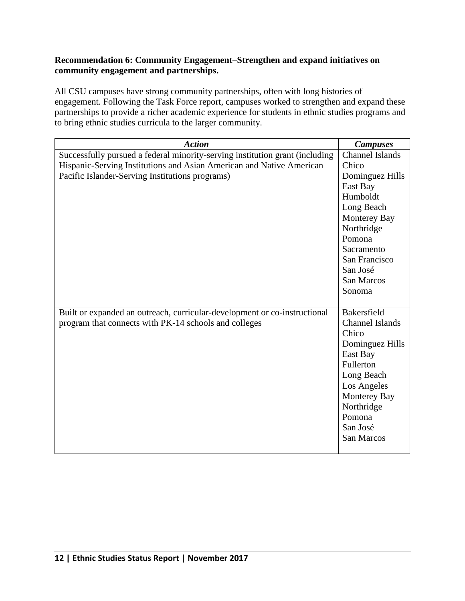#### **Recommendation 6: Community Engagement–Strengthen and expand initiatives on community engagement and partnerships.**

All CSU campuses have strong community partnerships, often with long histories of engagement. Following the Task Force report, campuses worked to strengthen and expand these partnerships to provide a richer academic experience for students in ethnic studies programs and to bring ethnic studies curricula to the larger community.

| <b>Action</b>                                                                | <b>Campuses</b>        |
|------------------------------------------------------------------------------|------------------------|
| Successfully pursued a federal minority-serving institution grant (including | <b>Channel Islands</b> |
| Hispanic-Serving Institutions and Asian American and Native American         | Chico                  |
| Pacific Islander-Serving Institutions programs)                              | Dominguez Hills        |
|                                                                              | East Bay               |
|                                                                              | Humboldt               |
|                                                                              | Long Beach             |
|                                                                              | Monterey Bay           |
|                                                                              | Northridge             |
|                                                                              | Pomona                 |
|                                                                              | Sacramento             |
|                                                                              | San Francisco          |
|                                                                              | San José               |
|                                                                              | San Marcos             |
|                                                                              | Sonoma                 |
|                                                                              |                        |
| Built or expanded an outreach, curricular-development or co-instructional    | <b>Bakersfield</b>     |
| program that connects with PK-14 schools and colleges                        | <b>Channel Islands</b> |
|                                                                              | Chico                  |
|                                                                              | Dominguez Hills        |
|                                                                              | East Bay               |
|                                                                              | Fullerton              |
|                                                                              | Long Beach             |
|                                                                              | Los Angeles            |
|                                                                              | Monterey Bay           |
|                                                                              | Northridge             |
|                                                                              | Pomona                 |
|                                                                              | San José               |
|                                                                              | San Marcos             |
|                                                                              |                        |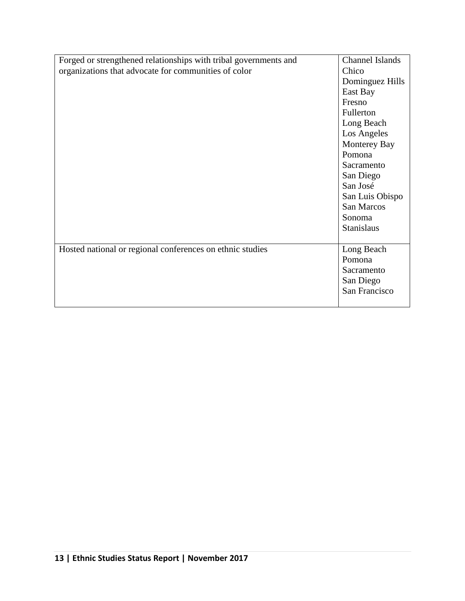| Forged or strengthened relationships with tribal governments and | Channel Islands |
|------------------------------------------------------------------|-----------------|
| organizations that advocate for communities of color             | Chico           |
|                                                                  | Dominguez Hills |
|                                                                  | East Bay        |
|                                                                  | Fresno          |
|                                                                  | Fullerton       |
|                                                                  | Long Beach      |
|                                                                  | Los Angeles     |
|                                                                  | Monterey Bay    |
|                                                                  | Pomona          |
|                                                                  | Sacramento      |
|                                                                  | San Diego       |
|                                                                  | San José        |
|                                                                  | San Luis Obispo |
|                                                                  | San Marcos      |
|                                                                  | Sonoma          |
|                                                                  | Stanislaus      |
|                                                                  |                 |
| Hosted national or regional conferences on ethnic studies        | Long Beach      |
|                                                                  | Pomona          |
|                                                                  | Sacramento      |
|                                                                  | San Diego       |
|                                                                  | San Francisco   |
|                                                                  |                 |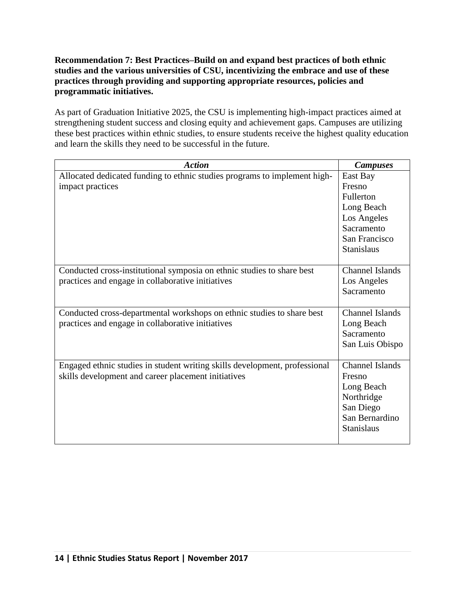## **Recommendation 7: Best Practices–Build on and expand best practices of both ethnic studies and the various universities of CSU, incentivizing the embrace and use of these practices through providing and supporting appropriate resources, policies and programmatic initiatives.**

As part of Graduation Initiative 2025, the CSU is implementing high-impact practices aimed at strengthening student success and closing equity and achievement gaps. Campuses are utilizing these best practices within ethnic studies, to ensure students receive the highest quality education and learn the skills they need to be successful in the future.

| <b>Action</b>                                                                                                                     | <b>Campuses</b>                                                                                                  |
|-----------------------------------------------------------------------------------------------------------------------------------|------------------------------------------------------------------------------------------------------------------|
| Allocated dedicated funding to ethnic studies programs to implement high-<br>impact practices                                     | East Bay<br>Fresno<br>Fullerton<br>Long Beach<br>Los Angeles<br>Sacramento<br>San Francisco<br><b>Stanislaus</b> |
| Conducted cross-institutional symposia on ethnic studies to share best<br>practices and engage in collaborative initiatives       | <b>Channel Islands</b><br>Los Angeles<br>Sacramento                                                              |
| Conducted cross-departmental workshops on ethnic studies to share best<br>practices and engage in collaborative initiatives       | <b>Channel Islands</b><br>Long Beach<br>Sacramento<br>San Luis Obispo                                            |
| Engaged ethnic studies in student writing skills development, professional<br>skills development and career placement initiatives | <b>Channel Islands</b><br>Fresno<br>Long Beach<br>Northridge<br>San Diego<br>San Bernardino<br><b>Stanislaus</b> |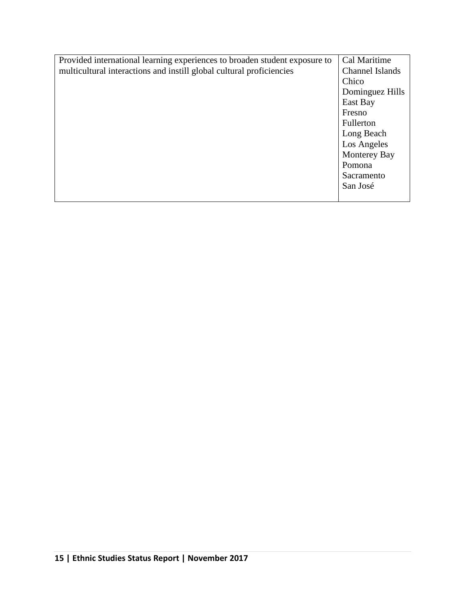| Provided international learning experiences to broaden student exposure to | Cal Maritime        |  |
|----------------------------------------------------------------------------|---------------------|--|
| multicultural interactions and instill global cultural proficiencies       | Channel Islands     |  |
|                                                                            | Chico               |  |
|                                                                            | Dominguez Hills     |  |
|                                                                            | East Bay            |  |
|                                                                            | Fresno              |  |
|                                                                            | Fullerton           |  |
|                                                                            | Long Beach          |  |
|                                                                            | Los Angeles         |  |
|                                                                            | <b>Monterey Bay</b> |  |
|                                                                            | Pomona              |  |
|                                                                            | Sacramento          |  |
|                                                                            | San José            |  |
|                                                                            |                     |  |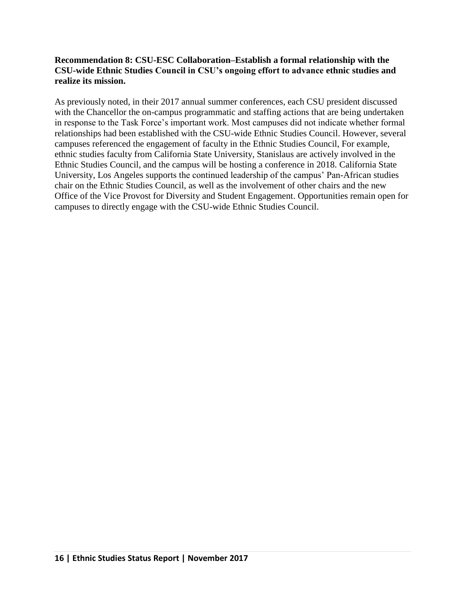#### **Recommendation 8: CSU-ESC Collaboration–Establish a formal relationship with the CSU-wide Ethnic Studies Council in CSU's ongoing effort to advance ethnic studies and realize its mission.**

As previously noted, in their 2017 annual summer conferences, each CSU president discussed with the Chancellor the on-campus programmatic and staffing actions that are being undertaken in response to the Task Force's important work. Most campuses did not indicate whether formal relationships had been established with the CSU-wide Ethnic Studies Council. However, several campuses referenced the engagement of faculty in the Ethnic Studies Council, For example, ethnic studies faculty from California State University, Stanislaus are actively involved in the Ethnic Studies Council, and the campus will be hosting a conference in 2018. California State University, Los Angeles supports the continued leadership of the campus' Pan-African studies chair on the Ethnic Studies Council, as well as the involvement of other chairs and the new Office of the Vice Provost for Diversity and Student Engagement. Opportunities remain open for campuses to directly engage with the CSU-wide Ethnic Studies Council.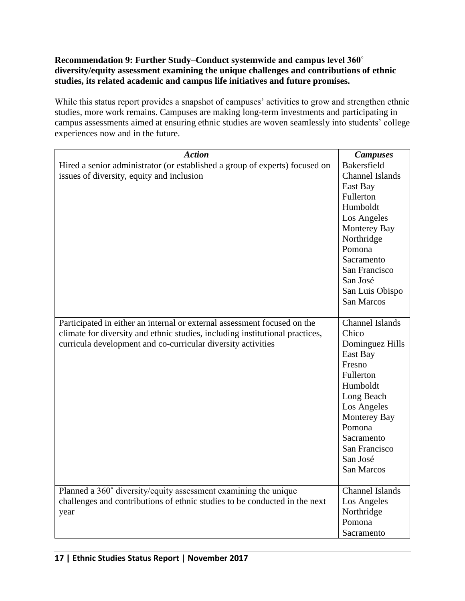# **Recommendation 9: Further Study–Conduct systemwide and campus level 360˚ diversity/equity assessment examining the unique challenges and contributions of ethnic studies, its related academic and campus life initiatives and future promises.**

While this status report provides a snapshot of campuses' activities to grow and strengthen ethnic studies, more work remains. Campuses are making long-term investments and participating in campus assessments aimed at ensuring ethnic studies are woven seamlessly into students' college experiences now and in the future.

| <b>Action</b>                                                                | <b>Campuses</b>        |
|------------------------------------------------------------------------------|------------------------|
| Hired a senior administrator (or established a group of experts) focused on  | Bakersfield            |
| issues of diversity, equity and inclusion                                    | Channel Islands        |
|                                                                              | East Bay               |
|                                                                              | Fullerton              |
|                                                                              | Humboldt               |
|                                                                              | Los Angeles            |
|                                                                              | Monterey Bay           |
|                                                                              | Northridge             |
|                                                                              | Pomona                 |
|                                                                              | Sacramento             |
|                                                                              | San Francisco          |
|                                                                              | San José               |
|                                                                              | San Luis Obispo        |
|                                                                              | <b>San Marcos</b>      |
|                                                                              |                        |
| Participated in either an internal or external assessment focused on the     | <b>Channel Islands</b> |
| climate for diversity and ethnic studies, including institutional practices, | Chico                  |
| curricula development and co-curricular diversity activities                 | Dominguez Hills        |
|                                                                              | East Bay               |
|                                                                              | Fresno                 |
|                                                                              | Fullerton              |
|                                                                              | Humboldt               |
|                                                                              | Long Beach             |
|                                                                              | Los Angeles            |
|                                                                              | Monterey Bay           |
|                                                                              | Pomona                 |
|                                                                              | Sacramento             |
|                                                                              | San Francisco          |
|                                                                              | San José               |
|                                                                              | San Marcos             |
|                                                                              |                        |
| Planned a 360° diversity/equity assessment examining the unique              | <b>Channel Islands</b> |
| challenges and contributions of ethnic studies to be conducted in the next   | Los Angeles            |
| year                                                                         | Northridge             |
|                                                                              | Pomona                 |
|                                                                              | Sacramento             |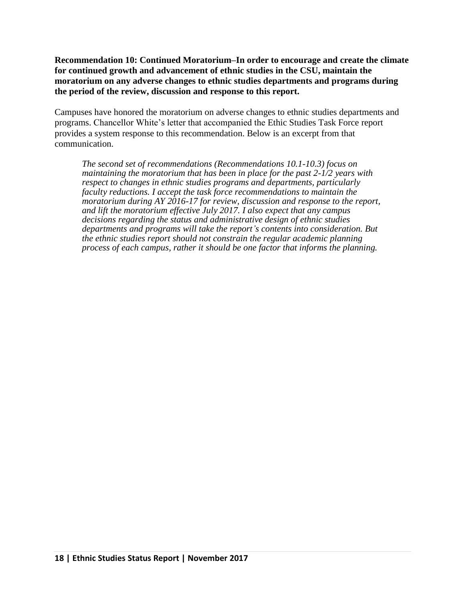**Recommendation 10: Continued Moratorium–In order to encourage and create the climate for continued growth and advancement of ethnic studies in the CSU, maintain the moratorium on any adverse changes to ethnic studies departments and programs during the period of the review, discussion and response to this report.** 

Campuses have honored the moratorium on adverse changes to ethnic studies departments and programs. Chancellor White's letter that accompanied the Ethic Studies Task Force report provides a system response to this recommendation. Below is an excerpt from that communication.

*The second set of recommendations (Recommendations 10.1-10.3) focus on maintaining the moratorium that has been in place for the past 2-1/2 years with respect to changes in ethnic studies programs and departments, particularly faculty reductions. I accept the task force recommendations to maintain the moratorium during AY 2016-17 for review, discussion and response to the report, and lift the moratorium effective July 2017. I also expect that any campus decisions regarding the status and administrative design of ethnic studies departments and programs will take the report's contents into consideration. But the ethnic studies report should not constrain the regular academic planning process of each campus, rather it should be one factor that informs the planning.*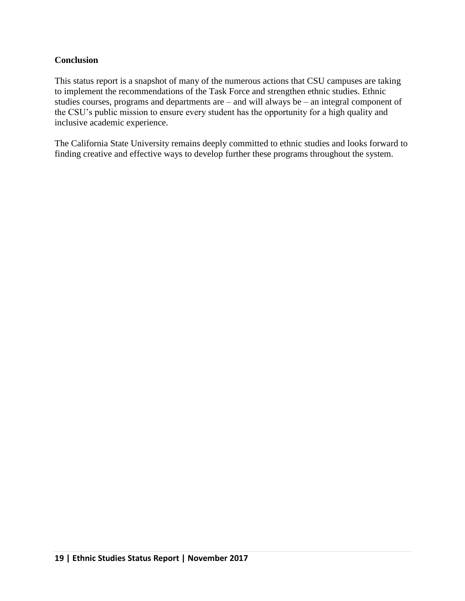# **Conclusion**

This status report is a snapshot of many of the numerous actions that CSU campuses are taking to implement the recommendations of the Task Force and strengthen ethnic studies. Ethnic studies courses, programs and departments are – and will always be – an integral component of the CSU's public mission to ensure every student has the opportunity for a high quality and inclusive academic experience.

The California State University remains deeply committed to ethnic studies and looks forward to finding creative and effective ways to develop further these programs throughout the system.